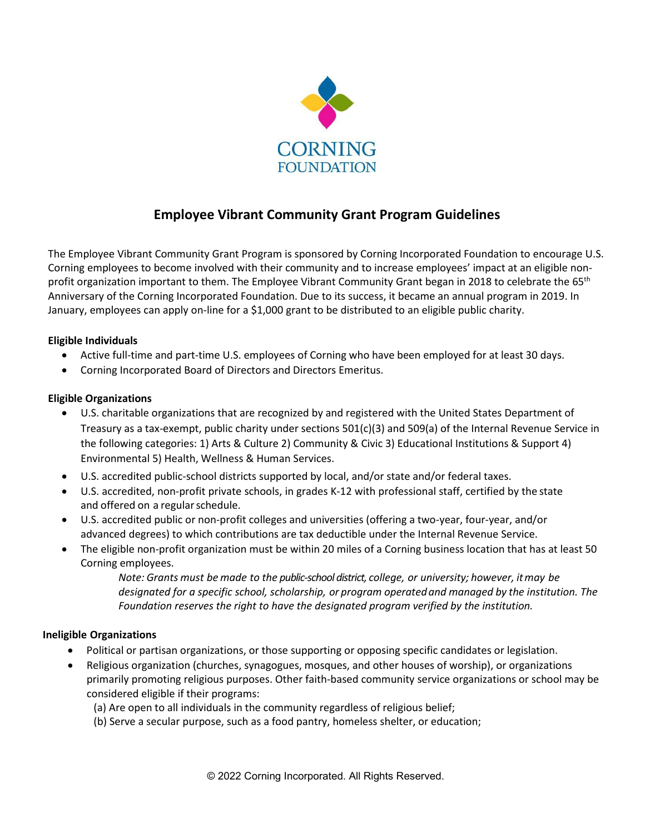

# **Employee Vibrant Community Grant Program Guidelines**

The Employee Vibrant Community Grant Program is sponsored by Corning Incorporated Foundation to encourage U.S. Corning employees to become involved with their community and to increase employees' impact at an eligible nonprofit organization important to them. The Employee Vibrant Community Grant began in 2018 to celebrate the 65<sup>th</sup> Anniversary of the Corning Incorporated Foundation. Due to its success, it became an annual program in 2019. In January, employees can apply on-line for a \$1,000 grant to be distributed to an eligible public charity.

### **Eligible Individuals**

- Active full-time and part-time U.S. employees of Corning who have been employed for at least 30 days.
- Corning Incorporated Board of Directors and Directors Emeritus.

#### **Eligible Organizations**

- U.S. charitable organizations that are recognized by and registered with the United States Department of Treasury as a tax-exempt, public charity under sections 501(c)(3) and 509(a) of the Internal Revenue Service in the following categories: 1) Arts & Culture 2) Community & Civic 3) Educational Institutions & Support 4) Environmental 5) Health, Wellness & Human Services.
- U.S. accredited public-school districts supported by local, and/or state and/or federal taxes.
- U.S. accredited, non-profit private schools, in grades K-12 with professional staff, certified by the state and offered on a regular schedule.
- U.S. accredited public or non-profit colleges and universities (offering a two-year, four-year, and/or advanced degrees) to which contributions are tax deductible under the Internal Revenue Service.
- The eligible non-profit organization must be within 20 miles of a Corning business location that has at least 50 Corning employees.

*Note: Grants must be made to the public-school district, college, or university; however, itmay be designated for a specific school, scholarship, or program operatedand managed by the institution. The Foundation reserves the right to have the designated program verified by the institution.*

#### **Ineligible Organizations**

- Political or partisan organizations, or those supporting or opposing specific candidates or legislation.
- Religious organization (churches, synagogues, mosques, and other houses of worship), or organizations primarily promoting religious purposes. Other faith-based community service organizations or school may be considered eligible if their programs:
	- (a) Are open to all individuals in the community regardless of religious belief;
	- (b) Serve a secular purpose, such as a food pantry, homeless shelter, or education;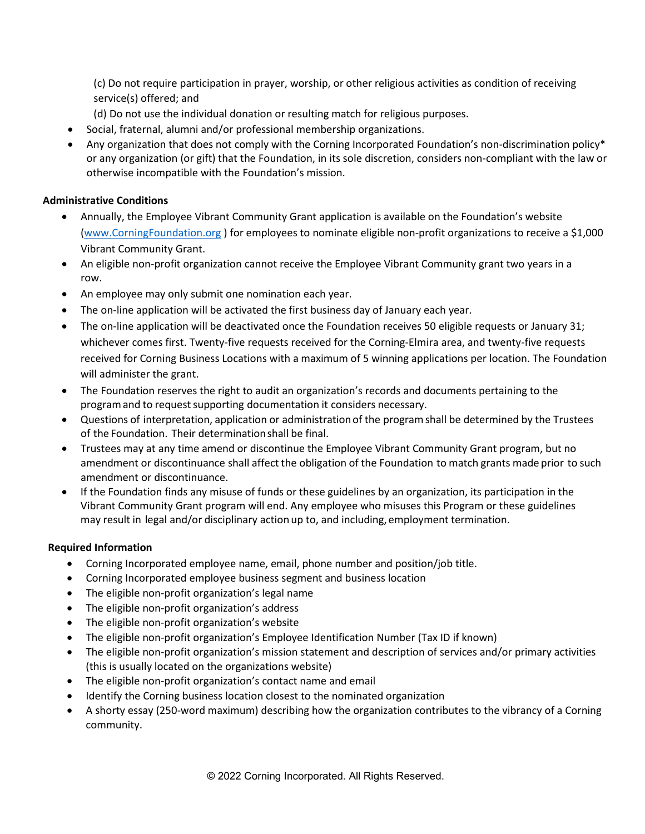(c) Do not require participation in prayer, worship, or other religious activities as condition of receiving service(s) offered; and

- (d) Do not use the individual donation or resulting match for religious purposes.
- Social, fraternal, alumni and/or professional membership organizations.
- Any organization that does not comply with the Corning Incorporated Foundation's non-discrimination policy\* or any organization (or gift) that the Foundation, in its sole discretion, considers non-compliant with the law or otherwise incompatible with the Foundation's mission.

## **Administrative Conditions**

- Annually, the Employee Vibrant Community Grant application is available on the Foundation's website [\(www.CorningFoundation.org](http://www.corningfoundation.org/) ) for employees to nominate eligible non-profit organizations to receive a \$1,000 Vibrant Community Grant.
- An eligible non-profit organization cannot receive the Employee Vibrant Community grant two years in a row.
- An employee may only submit one nomination each year.
- The on-line application will be activated the first business day of January each year.
- The on-line application will be deactivated once the Foundation receives 50 eligible requests or January 31; whichever comes first. Twenty-five requests received for the Corning-Elmira area, and twenty-five requests received for Corning Business Locations with a maximum of 5 winning applications per location. The Foundation will administer the grant.
- The Foundation reserves the right to audit an organization's records and documents pertaining to the program and to request supporting documentation it considers necessary.
- Questions of interpretation, application or administrationof the programshall be determined by the Trustees of the Foundation. Their determinationshall be final.
- Trustees may at any time amend or discontinue the Employee Vibrant Community Grant program, but no amendment or discontinuance shall affect the obligation of the Foundation to match grants made prior to such amendment or discontinuance.
- If the Foundation finds any misuse of funds or these guidelines by an organization, its participation in the Vibrant Community Grant program will end. Any employee who misuses this Program or these guidelines may result in legal and/or disciplinary action up to, and including, employment termination.

## **Required Information**

- Corning Incorporated employee name, email, phone number and position/job title.
- Corning Incorporated employee business segment and business location
- The eligible non-profit organization's legal name
- The eligible non-profit organization's address
- The eligible non-profit organization's website
- The eligible non-profit organization's Employee Identification Number (Tax ID if known)
- The eligible non-profit organization's mission statement and description of services and/or primary activities (this is usually located on the organizations website)
- The eligible non-profit organization's contact name and email
- Identify the Corning business location closest to the nominated organization
- A shorty essay (250-word maximum) describing how the organization contributes to the vibrancy of a Corning community.